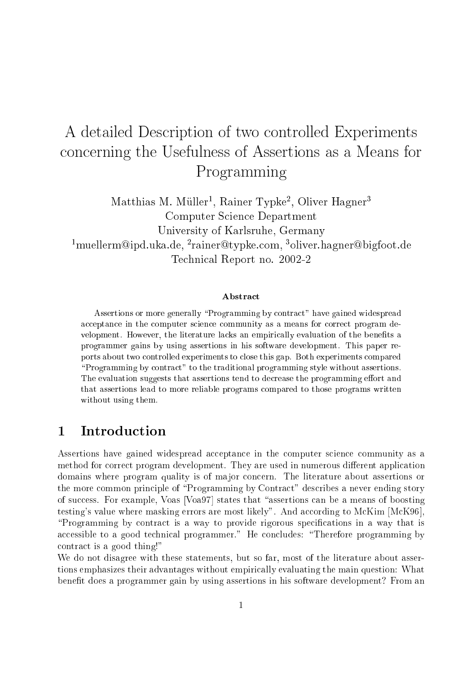# A detailed Des
ription of two ontrolled Experiments on
erning the Usefulness of Assertions as a Means for Programming

Matthias M. Muller, Rainer Typke, Oliver Hagner Computer S
ien
e Department University of Karlsruhe, Germany rmuellerm@lpd.uka.de, rrainer@typke.com, \*onver.nagner@bigfoot.de Te
hni
al Report no. 2002-2

### **Abstract**

Assertions or more generally "Programming by contract" have gained widespread acceptance in the computer science community as a means for correct program development. However, the literature lacks an empirically evaluation of the benefits a programmer gains by using assertions in his software development. This paper reports about two ontrolled experiments to lose this gap. Both experiments ompared "Programming by contract" to the traditional programming style without assertions. The evaluation suggests that assertions tend to decrease the programming effort and that assertions lead to more reliable programs ompared to those programs written without using them.

## 1 Introduction

Assertions have gained widespread acceptance in the computer science community as a method for correct program development. They are used in numerous different application domains where program quality is of major concern. The literature about assertions or the more common principle of "Programming by Contract" describes a never ending story of success. For example, Voas [Voa97] states that "assertions can be a means of boosting testing's value where masking errors are most likely". And according to McKim [McK96], "Programming by contract is a way to provide rigorous specifications in a way that is accessible to a good technical programmer." He concludes: "Therefore programming by contract is a good thing!"

We do not disagree with these statements, but so far, most of the literature about assertions emphasizes their advantages without empiri
ally evaluating the main question: What benet does a programmer gain by using assertions in his software development? From an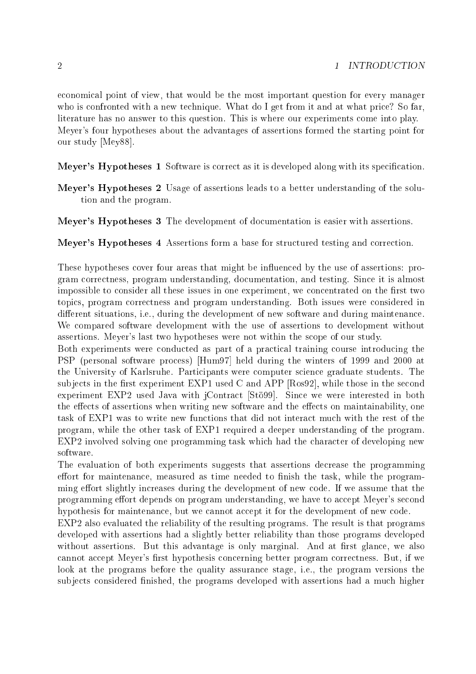e
onomi
al point of view, that would be the most important question for every manager who is confronted with a new technique. What do I get from it and at what price? So far. literature has no answer to this question. This is where our experiments come into play. Meyer's four hypotheses about the advantages of assertions formed the starting point for our study [Mey88].

- Meyer's Hypotheses 1 Software is correct as it is developed along with its specification.
- Meyer's Hypotheses 2 Usage of assertions leads to a better understanding of the solution and the program.
- Meyer's Hypotheses 3 The development of documentation is easier with assertions.

Meyer's Hypotheses 4 Assertions form a base for structured testing and correction.

These hypotheses cover four areas that might be influenced by the use of assertions: program orre
tness, program understanding, do
umentation, and testing. Sin
e it is almost impossible to consider all these issues in one experiment, we concentrated on the first two topi
s, program orre
tness and program understanding. Both issues were onsidered in different situations, i.e., during the development of new software and during maintenance. We ompared software development with the use of assertions to development without assertions. Meyer's last two hypotheses were not within the s
ope of our study.

Both experiments were conducted as part of a practical training course introducing the PSP (personal software process) [Hum97] held during the winters of 1999 and 2000 at the University of Karlsruhe. Parti
ipants were omputer s
ien
e graduate students. The subjects in the first experiment EXP1 used C and APP  $[Ros92]$ , while those in the second experiment EXP2 used Java with jContract [Stö99]. Since we were interested in both the effects of assertions when writing new software and the effects on maintainability, one task of EXP1 was to write new functions that did not interact much with the rest of the program, while the other task of EXP1 required a deeper understanding of the program. EXP2 involved solving one programming task which had the character of developing new software.

The evaluation of both experiments suggests that assertions decrease the programming effort for maintenance, measured as time needed to finish the task, while the programming effort slightly increases during the development of new code. If we assume that the programming effort depends on program understanding, we have to accept Meyer's second hypothesis for maintenance, but we cannot accept it for the development of new code.

EXP2 also evaluated the reliability of the resulting programs. The result is that programs developed with assertions had a slightly better reliability than those programs developed without assertions. But this advantage is only marginal. And at first glance, we also cannot accept Meyer's first hypothesis concerning better program correctness. But, if we look at the programs before the quality assuran
e stage, i.e., the program versions the subjects considered finished, the programs developed with assertions had a much higher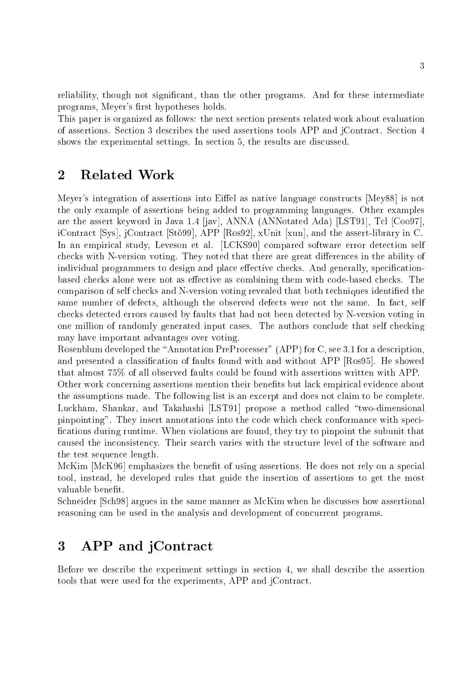reliability, though not significant, than the other programs. And for these intermediate programs, Meyer's first hypotheses holds.

This paper is organized as follows: the next section presents related work about evaluation of assertions. Se
tion 3 des
ribes the used assertions tools APP and jContra
t. Se
tion 4 shows the experimental settings. In section 5, the results are discussed.

## 2 Related Work

Meyer's integration of assertions into Eiffel as native language constructs [Mey88] is not the only example of assertions being added to programming languages. Other examples are the assert keyword in Java 1.4  $\vert$ jav $\vert$ , ANNA (ANNotated Ada) [LST91], Tcl  $\vert$ Coo97]. iContract [Sys], jContract [Stö99], APP [Ros92], xUnit [xun], and the assert-library in C. In an empirical study, Leveson et al. [LCKS90] compared software error detection self checks with N-version voting. They noted that there are great differences in the ability of individual programmers to design and place effective checks. And generally, specificationbased checks alone were not as effective as combining them with code-based checks. The comparison of self checks and N-version voting revealed that both techniques identified the same number of defects, although the observed defects were not the same. In fact, self checks detected errors caused by faults that had not been detected by N-version voting in one million of randomly generated input cases. The authors conclude that self checking may have important advantages over voting.

Rosenblum developed the "Annotation PreProcesser" (APP) for C, see 3.1 for a description, and presented a classification of faults found with and without APP  $[Ros95]$ . He showed that almost 75% of all observed faults ould be found with assertions written with APP.

Other work concerning assertions mention their benefits but lack empirical evidence about the assumptions made. The following list is an excerpt and does not claim to be complete. Luckham, Shankar, and Takahashi [LST91] propose a method called "two-dimensional pinpointing". They insert annotations into the code which check conformance with specifications during runtime. When violations are found, they try to pinpoint the subunit that caused the inconsistency. Their search varies with the structure level of the software and the test sequen
e length.

McKim [McK96] emphasizes the benefit of using assertions. He does not rely on a special tool, instead, he developed rules that guide the insertion of assertions to get the most valuable benefit.

Schneider [Sch98] argues in the same manner as McKim when he discusses how assertional reasoning can be used in the analysis and development of concurrent programs.

## 3 APP and jContra
t

Before we describe the experiment settings in section 4, we shall describe the assertion tools that were used for the experiments, APP and jContra
t.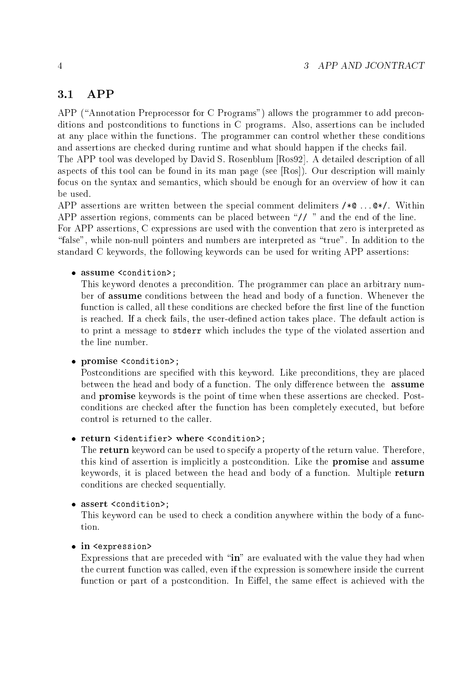### 3.1 APP

APP ("Annotation Preprocessor for C Programs") allows the programmer to add preconditions and postconditions to functions in C programs. Also, assertions can be included at any pla
e within the fun
tions. The programmer an ontrol whether these onditions and assertions are checked during runtime and what should happen if the checks fail.

The APP tool was developed by David S. Rosenblum [Ros92]. A detailed description of all aspects of this tool can be found in its man page (see  $[Ros]$ ). Our description will mainly focus on the syntax and semantics, which should be enough for an overview of how it can be used.

APP assertions are written between the special comment delimiters  $/* \mathsf{Q} \dots \mathsf{Q} * /$ . Within APP assertion regions, comments can be placed between "// " and the end of the line. For APP assertions, C expressions are used with the onvention that zero is interpreted as "false", while non-null pointers and numbers are interpreted as "true". In addition to the standard C keywords, the following keywords an be used for writing APP assertions:

### • assume <condition>;

This keyword denotes a pre
ondition. The programmer an pla
e an arbitrary number of assume onditions between the head and body of a fun
tion. Whenever the function is called, all these conditions are checked before the first line of the function is reached. If a check fails, the user-defined action takes place. The default action is to print a message to stderr whi
h in
ludes the type of the violated assertion and the line number.

### • promise <condition>;

Postconditions are specified with this keyword. Like preconditions, they are placed between the head and body of a function. The only difference between the **assume** and **promise** keywords is the point of time when these assertions are checked. Postonditions are he
ked after the fun
tion has been ompletely exe
uted, but before ontrol is returned to the aller.

### • return <identifier> where <condition>;

The **return** keyword can be used to specify a property of the return value. Therefore, this kind of assertion is implicitly a postcondition. Like the promise and assume keywords, it is pla
ed between the head and body of a fun
tion. Multiple return onditions are he
ked sequentially.

### • assert <condition>;

This keyword can be used to check a condition anywhere within the body of a function.

### $\bullet$  in  $\leq$  axpression>

Expressions that are preceded with "in" are evaluated with the value they had when the urrent fun
tion was alled, even if the expression is somewhere inside the urrent function or part of a postcondition. In Eiffel, the same effect is achieved with the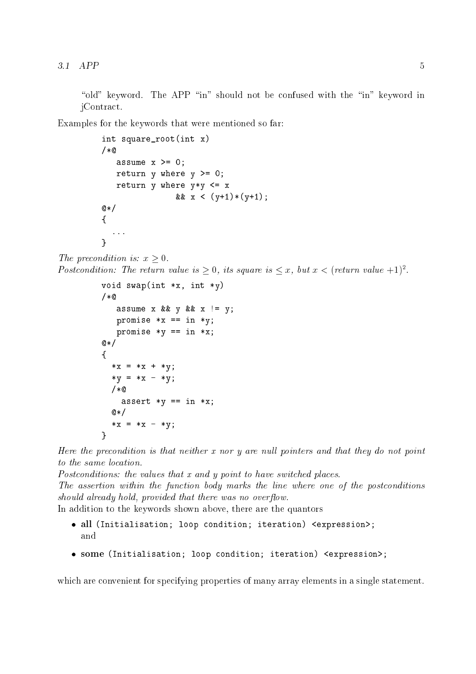"old" keyword. The APP "in" should not be confused with the "in" keyword in jContra
t.

Examples for the keywords that were mentioned so far:

```
int square_root(int x)
/*
   assume x \ge 0;
   return y where y \ge 0;
   return y where y \ast y \leq x& x < (y+1)*(y+1);@*{
  ...
\mathcal{L}}
```

```
The precondition is: x > 0.
Postcondution: The return value is > 0, us square is \le x, but x \le (return value +1).
```

```
void swap(int *x, int *y)
/*
   assume x && y && x != y;promise *x == in *y;
   promise *y == in *x;@*/{
  *x = *x + *y;*y = *x - *y;/*
    assert *y == in *x;@* /\sim \sim*x = *x - *y;\mathcal{L}}
```
Here the precondition is that neither  $x$  nor  $y$  are null pointers and that they do not point to the same location.

Postconditions: the values that x and y point to have switched places. The assertion within the function body marks the line where one of the postconditions should already hold, provided that there was no overflow.

In addition to the keywords shown above, there are the quantors

- all (Initialisation; loop ondition; iteration) <expression>; and
- some (Initialisation; loop ondition; iteration) <expression>;

which are convenient for specifying properties of many array elements in a single statement.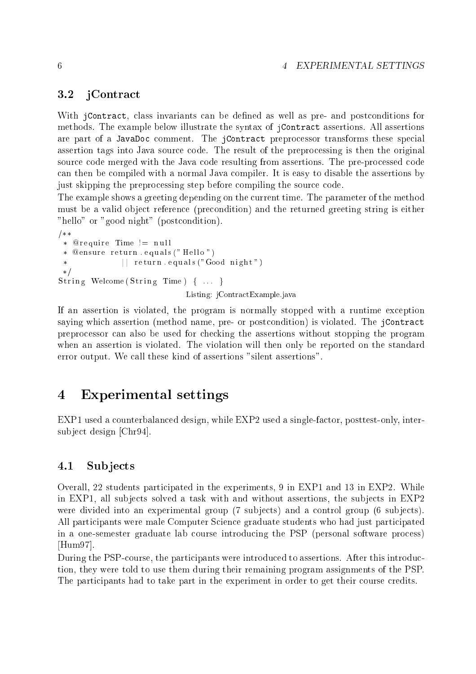### 6 4 EXPERIMENTAL SETTINGS

### 3.2 jContra
t

With *j*Contract, class invariants can be defined as well as pre- and postconditions for methods. The example below illustrate the syntax of jContra
t assertions. All assertions are part of a JavaDoc comment. The jContract preprocessor transforms these special assertion tags into Java sour
e ode. The result of the prepro
essing is then the original source code merged with the Java code resulting from assertions. The pre-processed code an then be ompiled with a normal Java ompiler. It is easy to disable the assertions by just skipping the preprocessing step before compiling the source code.

The example shows a greeting depending on the current time. The parameter of the method must be a valid obje
t referen
e (pre
ondition) and the returned greeting string is either "hello" or "good night" (postcondition).

```
/**r e gant de la commune de la commune de la commune de la commune de la commune de la commune de la commune de
  \ast@ensure return.equals ("Hello")
                               || return . equals ("Good night")
  /
s t r i n g i n g i n g i n g i n g i n g i n g i n g i n g i n g i n g i n g i n g i n g i n g i n g i n g i
```
If an assertion is violated, the program is normally stopped with a runtime exception saying which assertion (method name, pre- or postcondition) is violated. The jContract prepro
essor an also be used for he
king the assertions without stopping the program when an assertion is violated. The violation will then only be reported on the standard error output. We all these kind of assertions "silent assertions".

Listing: jContra
tExample.java

#### Experimental settings  $\overline{4}$

EXP1 used a counterbalanced design, while EXP2 used a single-factor, posttest-only, intersubject design [Chr94].

### 4.1 Subjects

Overall, 22 students parti
ipated in the experiments, 9 in EXP1 and 13 in EXP2. While in EXP1, all subjects solved a task with and without assertions, the subjects in EXP2 were divided into an experimental group (7 subjects) and a control group (6 subjects). All participants were male Computer Science graduate students who had just participated in a one-semester graduate lab ourse introdu
ing the PSP (personal software pro
ess)  $[Hum97].$ 

During the PSP-course, the participants were introduced to assertions. After this introduction, they were told to use them during their remaining program assignments of the PSP. The participants had to take part in the experiment in order to get their course credits.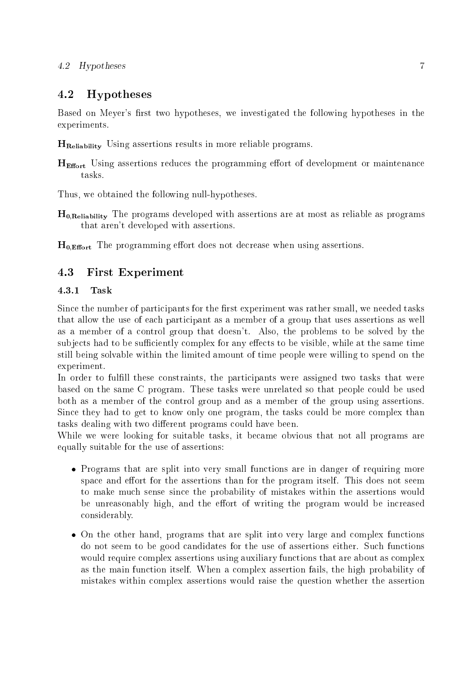### 4.2 Hypotheses 7

### 4.2 Hypotheses

Based on Meyer's first two hypotheses, we investigated the following hypotheses in the experiments.

 $H_{\text{Reliability}}$  Using assertions results in more reliable programs.

 $H<sub>Effort</sub>$  Using assertions reduces the programming effort of development or maintenance tasks.

Thus, we obtained the following null-hypotheses.

 $H_{0,Reliability}$  The programs developed with assertions are at most as reliable as programs that aren't developed with assertions.

 $H_{0,Effort}$  The programming effort does not decrease when using assertions.

### 4.3 First Experiment

#### 4.3.1**Task**

Since the number of participants for the first experiment was rather small, we needed tasks that allow the use of each participant as a member of a group that uses assertions as well as a member of a ontrol group that doesn't. Also, the problems to be solved by the subjects had to be sufficiently complex for any effects to be visible, while at the same time still being solvable within the limited amount of time people were willing to spend on the experiment.

In order to fulfill these constraints, the participants were assigned two tasks that were based on the same C program. These tasks were unrelated so that people could be used both as a member of the ontrol group and as a member of the group using assertions. Since they had to get to know only one program, the tasks could be more complex than tasks dealing with two different programs could have been.

While we were looking for suitable tasks, it became obvious that not all programs are equally suitable for the use of assertions:

- Programs that are split into very small functions are in danger of requiring more space and effort for the assertions than for the program itself. This does not seem to make mu
h sense sin
e the probability of mistakes within the assertions would be unreasonably high, and the effort of writing the program would be increased onsiderably.
- On the other hand, programs that are split into very large and complex functions do not seem to be good candidates for the use of assertions either. Such functions would require complex assertions using auxiliary functions that are about as complex as the main fun
tion itself. When a omplex assertion fails, the high probability of mistakes within omplex assertions would raise the question whether the assertion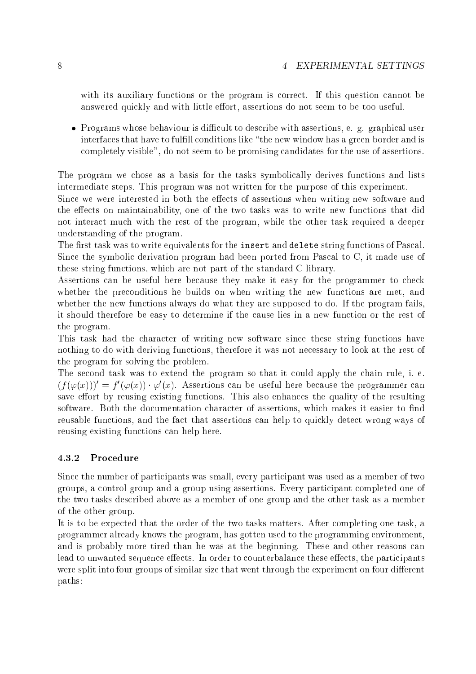with its auxiliary functions or the program is correct. If this question cannot be answered quickly and with little effort, assertions do not seem to be too useful.

• Programs whose behaviour is difficult to describe with assertions, e. g. graphical user interfaces that have to fulfill conditions like "the new window has a green border and is completely visible", do not seem to be promising candidates for the use of assertions.

The program we chose as a basis for the tasks symbolically derives functions and lists intermediate steps. This program was not written for the purpose of this experiment.

Since we were interested in both the effects of assertions when writing new software and the effects on maintainability, one of the two tasks was to write new functions that did not intera
t mu
h with the rest of the program, while the other task required a deeper understanding of the program.

The first task was to write equivalents for the insert and delete string functions of Pascal. Since the symbolic derivation program had been ported from Pascal to C, it made use of these string fun
tions, whi
h are not part of the standard C library.

Assertions can be useful here because they make it easy for the programmer to check whether the preconditions he builds on when writing the new functions are met, and whether the new functions always do what they are supposed to do. If the program fails, it should therefore be easy to determine if the ause lies in a new fun
tion or the rest of the program.

This task had the character of writing new software since these string functions have nothing to do with deriving functions, therefore it was not necessary to look at the rest of the program for solving the problem.

The second task was to extend the program so that it could apply the chain rule, i. e.  $(f(\varphi(x)))^{\circ} = f^{\circ}(\varphi(x)) \cdot \varphi^{\circ}(x)$ . Assertions can be useful here because the programmer can save effort by reusing existing functions. This also enhances the quality of the resulting software. Both the documentation character of assertions, which makes it easier to find reusable functions, and the fact that assertions can help to quickly detect wrong ways of reusing existing fun
tions an help here.

#### 4.3.2Pro
edure

Since the number of participants was small, every participant was used as a member of two groups, a ontrol group and a group using assertions. Every parti
ipant ompleted one of the two tasks des
ribed above as a member of one group and the other task as a member of the other group.

It is to be expe
ted that the order of the two tasks matters. After ompleting one task, a programmer already knows the program, has gotten used to the programming environment, and is probably more tired than he was at the beginning. These and other reasons can lead to unwanted sequence effects. In order to counterbalance these effects, the participants were split into four groups of similar size that went through the experiment on four different paths: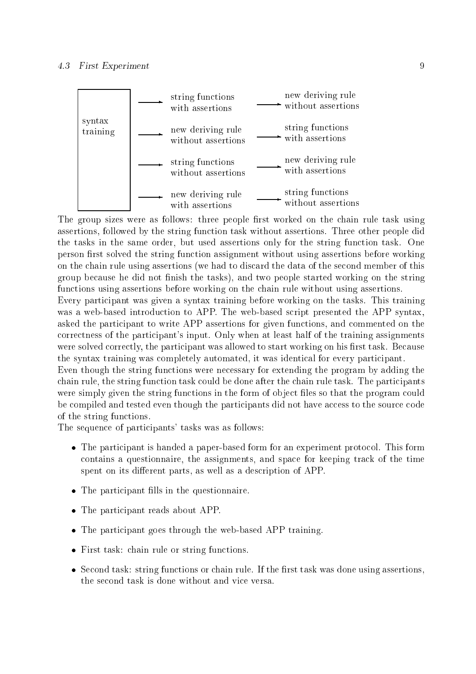

The group sizes were as follows: three people first worked on the chain rule task using assertions, followed by the string function task without assertions. Three other people did the tasks in the same order, but used assertions only for the string function task. One person first solved the string function assignment without using assertions before working on the hain rule using assertions (we had to dis
ard the data of the se
ond member of this group because he did not finish the tasks), and two people started working on the string functions using assertions before working on the chain rule without using assertions.

Every participant was given a syntax training before working on the tasks. This training was a web-based introdu
tion to APP. The web-based s
ript presented the APP syntax, asked the parti
ipant to write APP assertions for given fun
tions, and ommented on the orre
tness of the parti
ipant's input. Only when at least half of the training assignments were solved correctly, the participant was allowed to start working on his first task. Because the syntax training was completely automated, it was identical for every participant.

Even though the string fun
tions were ne
essary for extending the program by adding the chain rule, the string function task could be done after the chain rule task. The participants were simply given the string functions in the form of object files so that the program could be compiled and tested even though the participants did not have access to the source code of the string fun
tions.

The sequence of participants' tasks was as follows:

- The participant is handed a paper-based form for an experiment protocol. This form ontains a questionnaire, the assignments, and spa
e for keeping tra
k of the time spent on its different parts, as well as a description of APP.
- The participant fills in the questionnaire.
- The participant reads about APP.
- The participant goes through the web-based APP training.
- First task: chain rule or string functions.
- Second task: string functions or chain rule. If the first task was done using assertions, the second task is done without and vice versa.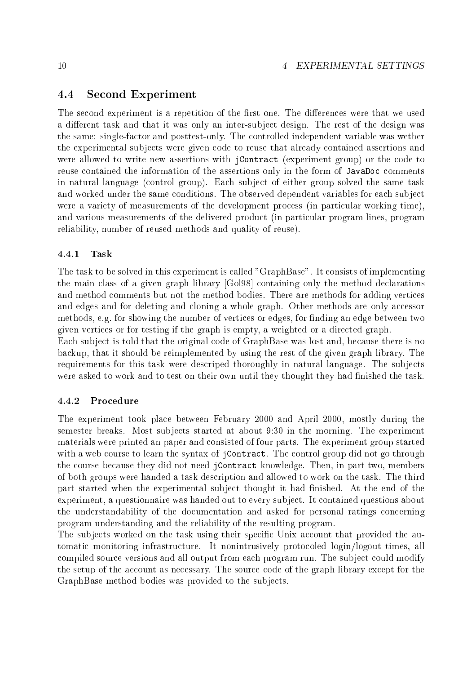### 4.4 Se
ond Experiment

The second experiment is a repetition of the first one. The differences were that we used a different task and that it was only an inter-subject design. The rest of the design was the same: single-fa
tor and posttest-only. The ontrolled independent variable was wether the experimental subje
ts were given ode to reuse that already ontained assertions and were allowed to write new assertions with *jContract* (experiment group) or the code to reuse contained the information of the assertions only in the form of JavaDoc comments in natural language (
ontrol group). Ea
h subje
t of either group solved the same task and worked under the same conditions. The observed dependent variables for each subject were a variety of measurements of the development process (in particular working time), and various measurements of the delivered product (in particular program lines, program reliability, number of reused methods and quality of reuse).

#### 4.4.1Task

The task to be solved in this experiment is called "GraphBase". It consists of implementing the main class of a given graph library [Gol98] containing only the method declarations and method omments but not the method bodies. There are methods for adding verti
es and edges and for deleting and cloning a whole graph. Other methods are only accessor methods, e.g. for showing the number of vertices or edges, for finding an edge between two given verti
es or for testing if the graph is empty, a weighted or a dire
ted graph.

Each subject is told that the original code of GraphBase was lost and, because there is no ba
kup, that it should be reimplemented by using the rest of the given graph library. The requirements for this task were descriped thoroughly in natural language. The subjects were asked to work and to test on their own until they thought they had finished the task.

#### 4.4.2Pro
edure

The experiment took pla
e between February 2000 and April 2000, mostly during the semester breaks. Most subjects started at about 9:30 in the morning. The experiment materials were printed an paper and onsisted of four parts. The experiment group started with a web course to learn the syntax of jContract. The control group did not go through the course because they did not need jContract knowledge. Then, in part two, members of both groups were handed a task des
ription and allowed to work on the task. The third part started when the experimental subject thought it had finished. At the end of the experiment, a questionnaire was handed out to every subject. It contained questions about the understandability of the documentation and asked for personal ratings concerning program understanding and the reliability of the resulting program.

The subjects worked on the task using their specific Unix account that provided the automatic monitoring infrastructure. It nonintrusively protocoled login/logout times, all compiled source versions and all output from each program run. The subject could modify the setup of the account as necessary. The source code of the graph library except for the GraphBase method bodies was provided to the subjects.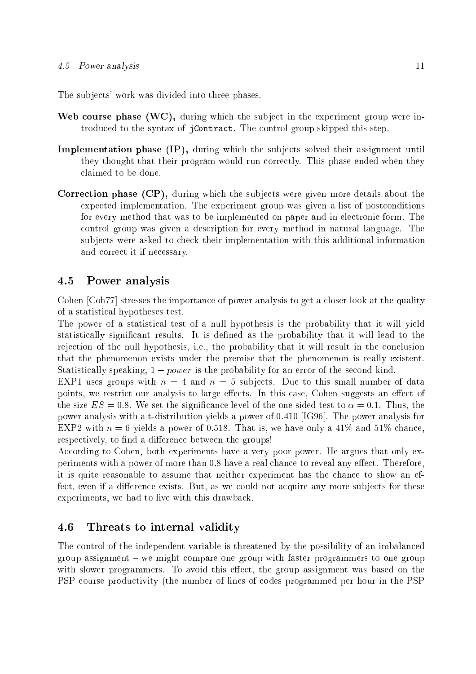The subje
ts' work was divided into three phases.

- we subject the subject to the subject to the experiment of the subject to the subject to the experiment of the trodu
ed to the syntax of jContra
t. The ontrol group skipped this step.
- Implementation phase (IP), during whi
h the subje
ts solved their assignment until they thought that their program would run correctly. This phase ended when they laimed to be done.
- the subject to the subject of the subject the subject of the subject the subject that the subject the subject of the subject of the subject of the subject of the subject of the subject of the subject of the subject of the expected implementation. The experiment group was given a list of postconditions for every method that was to be implemented on paper and in electronic form. The ontrol group was given a des
ription for every method in natural language. The subje
ts were asked to he
k their implementation with this additional information and correct it if necessary.

### 4.5 Power analysis

Cohen [Coh77] stresses the importance of power analysis to get a closer look at the quality of a statisti
al hypotheses test.

The power of a statistical test of a null hypothesis is the probability that it will yield statistically significant results. It is defined as the probability that it will lead to the rejection of the null hypothesis, i.e., the probability that it will result in the conclusion that the phenomenon exists under the premise that the phenomenon is really existent. Statistically speaking,  $1 - power$  is the probability for an error of the second kind.

EXP1 uses groups with  $n = 4$  and  $n = 5$  subjects. Due to this small number of data points, we restrict our analysis to large effects. In this case, Cohen suggests an effect of the size  $ES = 0.8$ . We set the significance level of the one sided test to  $\alpha = 0.1$ . Thus, the power analysis with a t-distribution yields a power of  $0.410$  [IG96]. The power analysis for EXP2 with  $n = 6$  yields a power of 0.518. That is, we have only a 41\% and 51\% chance, respectively, to find a difference between the groups!

According to Cohen, both experiments have a very poor power. He argues that only experiments with a power of more than 0.8 have a real chance to reveal any effect. Therefore, it is quite reasonable to assume that neither experiment has the chance to show an effect, even if a difference exists. But, as we could not acquire any more subjects for these experiments, we had to live with this drawba
k.

### 4.6 Threats to internal validity

The ontrol of the independent variable is threatened by the possibility of an imbalan
ed  $\gamma$  group assignment – we might compare one group with faster programmers to one group with slower programmers. To avoid this effect, the group assignment was based on the PSP ourse produ
tivity (the number of lines of odes programmed per hour in the PSP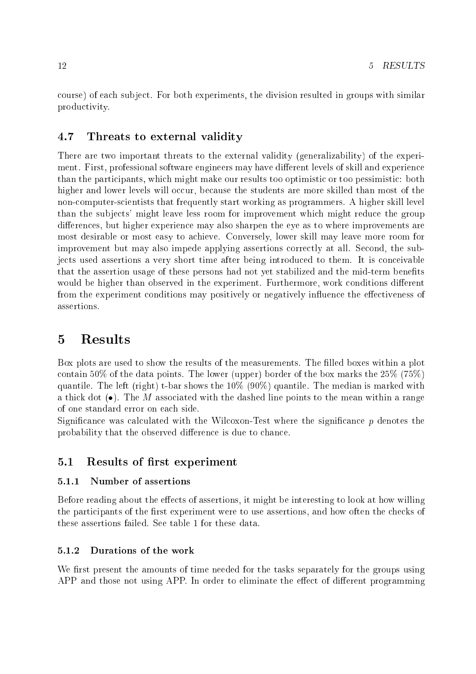ourse) of ea
h subje
t. For both experiments, the division resulted in groups with similar produ
tivity.

### 4.7 Threats to external validity

There are two important threats to the external validity (generalizability) of the experiment. First, professional software engineers may have different levels of skill and experience than the participants, which might make our results too optimistic or too pessimistic: both higher and lower levels will occur, because the students are more skilled than most of the non-computer-scientists that frequently start working as programmers. A higher skill level than the subjects' might leave less room for improvement which might reduce the group differences, but higher experience may also sharpen the eye as to where improvements are most desirable or most easy to a
hieve. Conversely, lower skill may leave more room for improvement but may also impede applying assertions correctly at all. Second, the subjects used assertions a very short time after being introduced to them. It is conceivable that the assertion usage of these persons had not yet stabilized and the mid-term benets would be higher than observed in the experiment. Furthermore, work conditions different from the experiment conditions may positively or negatively influence the effectiveness of assertions.

## 5 Results

Box plots are used to show the results of the measurements. The filled boxes within a plot contain 50% of the data points. The lower (upper) border of the box marks the  $25\%$  (75%) quantile. The left (right) t-bar shows the  $10\%$  (90%) quantile. The median is marked with a thick dot  $(\bullet)$ . The M associated with the dashed line points to the mean within a range of one standard error on ea
h side.

Significance was calculated with the Wilcoxon-Test where the significance  $p$  denotes the probability that the observed difference is due to chance.

### 5.1 Results of first experiment

#### Number of assertions  $5.1.1$

Before reading about the effects of assertions, it might be interesting to look at how willing the participants of the first experiment were to use assertions, and how often the checks of these assertions failed. See table 1 for these data.

#### 5.1.2Durations of the work

We first present the amounts of time needed for the tasks separately for the groups using APP and those not using APP. In order to eliminate the effect of different programming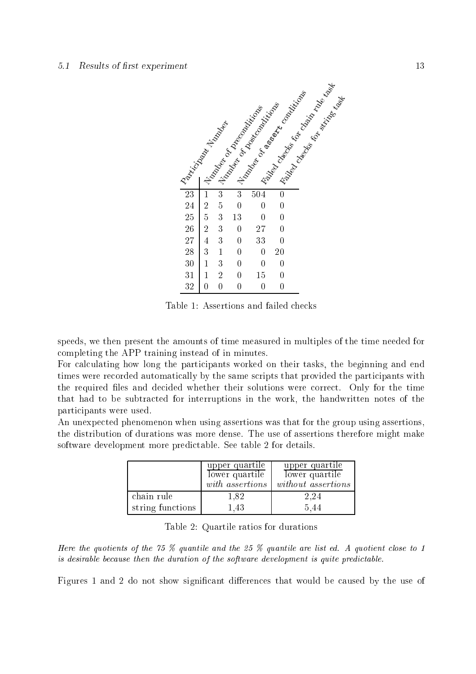### $5.1$  Results of first experiment  $13$



Table 1: Assertions and failed he
ks

speeds, we then present the amounts of time measured in multiples of the time needed for ompleting the APP training instead of in minutes.

For calculating how long the participants worked on their tasks, the beginning and end times were recorded automatically by the same scripts that provided the participants with the required files and decided whether their solutions were correct. Only for the time that had to be subtracted for interruptions in the work, the handwritten notes of the parti
ipants were used.

An unexpected phenomenon when using assertions was that for the group using assertions, the distribution of durations was more dense. The use of assertions therefore might make software development more predictable. See table 2 for details.

|                  | upper quartile<br>$lower$ quartile<br>with assertions | upper quartile<br>lower quartile<br>without assertions |
|------------------|-------------------------------------------------------|--------------------------------------------------------|
| chain rule       | 1,82                                                  | 2.24                                                   |
| string functions | 1.43                                                  | 5.44                                                   |

|  |  | Table 2: Quartile ratios for durations |  |
|--|--|----------------------------------------|--|
|--|--|----------------------------------------|--|

Here the quotients of the  $75\%$  quantile and the  $25\%$  quantile are list ed. A quotient close to 1 is desirable because then the duration of the software development is quite predictable.

Figures 1 and 2 do not show significant differences that would be caused by the use of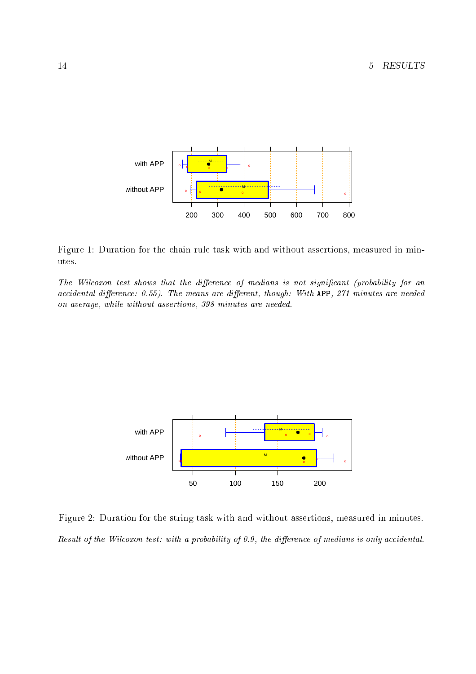

Figure 1: Duration for the chain rule task with and without assertions, measured in minutes.

The Wilcoxon test shows that the difference of medians is not significant (probability for an accidental difference: 0.55). The means are different, though: With APP, 271 minutes are needed on average, while without assertions, 398 minutes are needed.



Figure 2: Duration for the string task with and without assertions, measured in minutes. Result of the Wilcoxon test: with a probability of 0.9, the difference of medians is only accidental.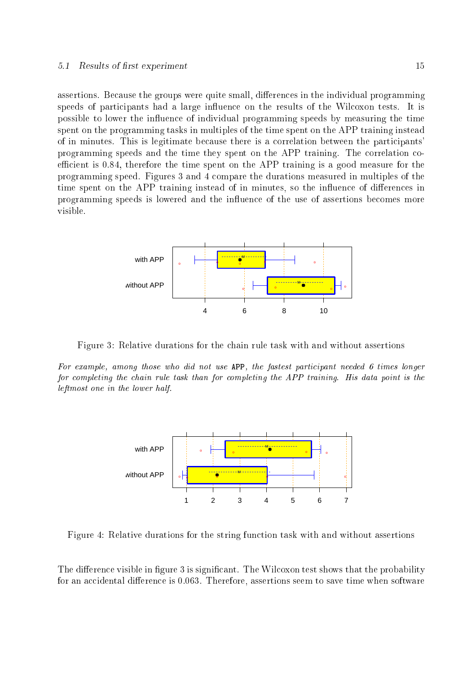assertions. Because the groups were quite small, differences in the individual programming speeds of participants had a large influence on the results of the Wilcoxon tests. It is possible to lower the influence of individual programming speeds by measuring the time spent on the programming tasks in multiples of the time spent on the APP training instead of in minutes. This is legitimate because there is a correlation between the participants' programming speeds and the time they spent on the APP training. The correlation coefficient is 0.84, therefore the time spent on the APP training is a good measure for the programming speed. Figures 3 and 4 ompare the durations measured in multiples of the time spent on the APP training instead of in minutes, so the influence of differences in programming speeds is lowered and the influence of the use of assertions becomes more visible.



Figure 3: Relative durations for the hain rule task with and without assertions

For example, among those who did not use APP, the fastest participant needed 6 times longer for completing the chain rule task than for completing the APP training. His data point is the leftmost one in the lower half.



Figure 4: Relative durations for the string function task with and without assertions

The difference visible in figure 3 is significant. The Wilcoxon test shows that the probability for an accidental difference is 0.063. Therefore, assertions seem to save time when software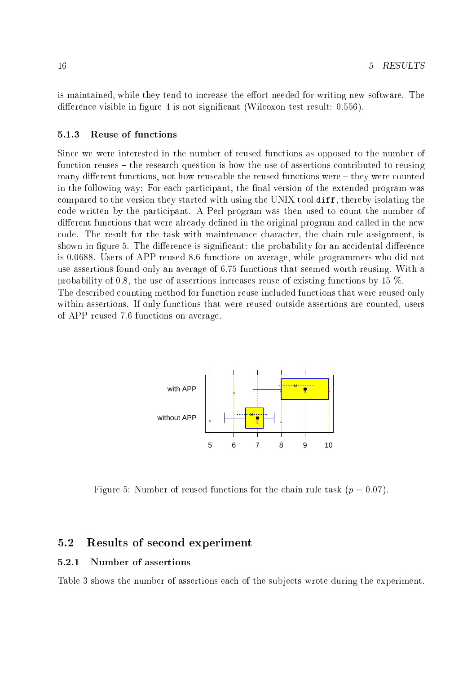is maintained, while they tend to increase the effort needed for writing new software. The difference visible in figure 4 is not significant (Wilcoxon test result:  $0.556$ ).

#### 5.1.3Reuse of fun
tions

Since we were interested in the number of reused functions as opposed to the number of function reuses – the research question is how the use of assertions contributed to reusing many different functions, not how reuseable the reused functions were  $-$  they were counted in the following way: For each participant, the final version of the extended program was ompared to the version they started with using the UNIX tool diff, thereby isolating the ode written by the parti
ipant. A Perl program was then used to ount the number of different functions that were already defined in the original program and called in the new ode. The result for the task with maintenan
e hara
ter, the hain rule assignment, is shown in figure 5. The difference is significant: the probability for an accidental difference is 0.0688. Users of APP reused 8.6 fun
tions on average, while programmers who did not use assertions found only an average of 6.75 fun
tions that seemed worth reusing. With a probability of 0.8, the use of assertions in
reases reuse of existing fun
tions by 15 %. The described counting method for function reuse included functions that were reused only within assertions. If only functions that were reused outside assertions are counted, users of APP reused 7.6 fun
tions on average.



Figure 5: Number of reused functions for the chain rule task  $(p = 0.07)$ .

### 5.2 Results of se
ond experiment

#### 5.2.1Number of assertions

Table 3 shows the number of assertions each of the subjects wrote during the experiment.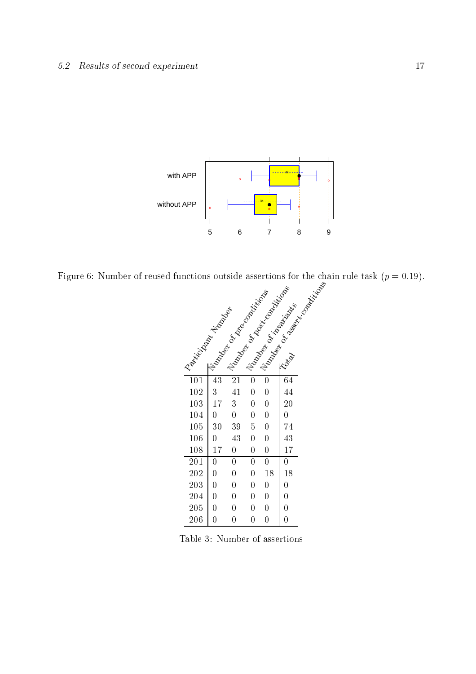### 5.2 Results of second experiment 17



Figure 6: Number of reused fun
tions outside assertions for the hain rule task (p = 0:19).

|                             |                | I live of the control of the control of the<br>I Kingdom Random River |                |                | - 11/2/2/21 Principal River River River |
|-----------------------------|----------------|-----------------------------------------------------------------------|----------------|----------------|-----------------------------------------|
| I Replication of the Marian |                |                                                                       |                |                |                                         |
|                             |                |                                                                       |                |                |                                         |
|                             |                |                                                                       |                |                |                                         |
|                             |                |                                                                       |                |                |                                         |
|                             |                |                                                                       |                |                |                                         |
| $\overline{101}$            | 43             | 21                                                                    |                |                |                                         |
| 102                         | 3              | 41                                                                    | $\overline{0}$ | $\overline{0}$ | 44                                      |
| 103                         | 17             | 3                                                                     | 0              | $\overline{0}$ | 20                                      |
| 104                         | $\overline{0}$ | $\overline{0}$                                                        | 0              | $\overline{0}$ | $\overline{0}$                          |
| 105                         | 30             | 39                                                                    | 5              | $\overline{0}$ | 74                                      |
| 106                         | 0              | 43                                                                    | 0              | $\overline{0}$ | 43                                      |
| 108                         | 17             | $\overline{0}$                                                        | 0              | $\overline{0}$ | 17                                      |
| 201                         | 0              | $\overline{0}$                                                        | $\overline{0}$ | $\overline{0}$ | 0                                       |
| 202                         | 0              | $\overline{0}$                                                        | $\overline{0}$ | 18             | 18                                      |
| 203                         | $\overline{0}$ | $\overline{0}$                                                        | $\overline{0}$ | $\overline{0}$ | $\overline{0}$                          |
| 204                         | $\overline{0}$ | $\overline{0}$                                                        | $\overline{0}$ | $\overline{0}$ | $\overline{0}$                          |
| 205                         | $\overline{0}$ | $\overline{0}$                                                        | 0              | $\overline{0}$ | $\overline{0}$                          |
| 206                         | $\overline{0}$ | $\overline{0}$                                                        | $\overline{0}$ | $\overline{0}$ | $\overline{0}$                          |

Table 3: Number of assertions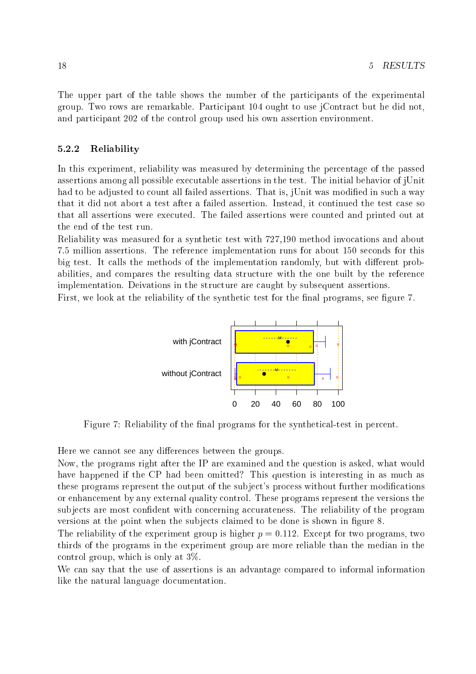The upper part of the table shows the number of the parti
ipants of the experimental group. Two rows are remarkable. Parti
ipant 104 ought to use jContra
t but he did not, and parti
ipant 202 of the ontrol group used his own assertion environment.

#### 5.2.2Reliability

In this experiment, reliability was measured by determining the percentage of the passed assertions among all possible executable assertions in the test. The initial behavior of jUnit had to be adjusted to count all failed assertions. That is, jUnit was modified in such a way that it did not abort a test after a failed assertion. Instead, it continued the test case so that all assertions were executed. The failed assertions were counted and printed out at the end of the test run.

Reliability was measured for a synthetic test with  $727,190$  method invocations and about 7.5 million assertions. The referen
e implementation runs for about 150 se
onds for this big test. It calls the methods of the implementation randomly, but with different probabilities, and compares the resulting data structure with the one built by the reference implementation. Deivations in the structure are caught by subsequent assertions.

First, we look at the reliability of the synthetic test for the final programs, see figure 7.



Figure 7: Reliability of the final programs for the synthetical-test in percent.

Here we cannot see any differences between the groups.

Now, the programs right after the IP are examined and the question is asked, what would have happened if the CP had been omitted? This question is interesting in as much as these programs represent the output of the subject's process without further modifications or enhan
ement by any external quality ontrol. These programs represent the versions the subjects are most confident with concerning accurateness. The reliability of the program versions at the point when the subjects claimed to be done is shown in figure 8.

The reliability of the experiment group is higher  $p = 0.112$ . Except for two programs, two thirds of the programs in the experiment group are more reliable than the median in the control group, which is only at  $3\%$ .

We can say that the use of assertions is an advantage compared to informal information like the natural language documentation.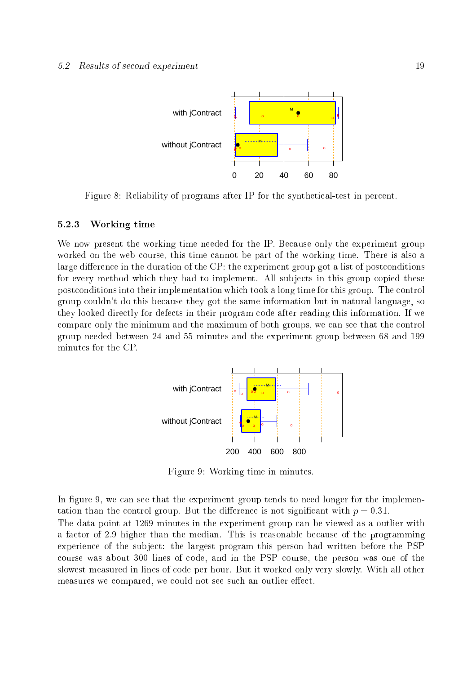

Figure 8: Reliability of programs after IP for the synthetical-test in percent.

#### 5.2.3Working time

We now present the working time needed for the IP. Because only the experiment group worked on the web ourse, this time annot be part of the working time. There is also a large difference in the duration of the CP: the experiment group got a list of postconditions for every method which they had to implement. All subjects in this group copied these post
onditions into their implementation whi
h took a long time for this group. The ontrol group ouldn't do this be
ause they got the same information but in natural language, so they looked directly for defects in their program code after reading this information. If we ompare only the minimum and the maximum of both groups, we an see that the ontrol group needed between 24 and 55 minutes and the experiment group between 68 and 199 minutes for the CP.



Figure 9: Working time in minutes.

In figure 9, we can see that the experiment group tends to need longer for the implementation than the control group. But the difference is not significant with  $p = 0.31$ . The data point at 1269 minutes in the experiment group can be viewed as a outlier with a factor of 2.9 higher than the median. This is reasonable because of the programming experience of the subject: the largest program this person had written before the PSP course was about 300 lines of code, and in the PSP course, the person was one of the slowest measured in lines of ode per hour. But it worked only very slowly. With all other measures we compared, we could not see such an outlier effect.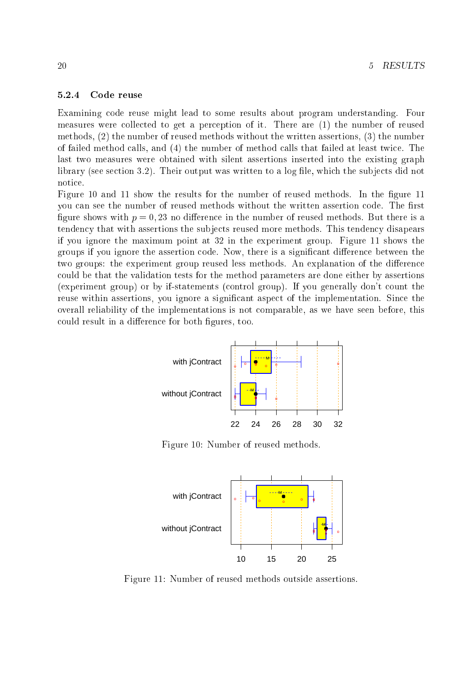#### 5.2.4Code reuse

Examining ode reuse might lead to some results about program understanding. Four measures were collected to get a perception of it. There are (1) the number of reused methods, (2) the number of reused methods without the written assertions, (3) the number of failed method alls, and (4) the number of method alls that failed at least twi
e. The last two measures were obtained with silent assertions inserted into the existing graph library (see section 3.2). Their output was written to a log file, which the subjects did not noti
e.

Figure 10 and 11 show the results for the number of reused methods. In the figure 11 you can see the number of reused methods without the written assertion code. The first figure shows with  $p = 0, 23$  no difference in the number of reused methods. But there is a tendency that with assertions the subjects reused more methods. This tendency disapears if you ignore the maximum point at 32 in the experiment group. Figure 11 shows the groups if you ignore the assertion code. Now, there is a significant difference between the two groups: the experiment group reused less methods. An explanation of the difference ould be that the validation tests for the method parameters are done either by assertions (experiment group) or by if-statements (
ontrol group). If you generally don't ount the reuse within assertions, you ignore a significant aspect of the implementation. Since the overall reliability of the implementations is not omparable, as we have seen before, this could result in a difference for both figures, too.



Figure 10: Number of reused methods.



Figure 11: Number of reused methods outside assertions.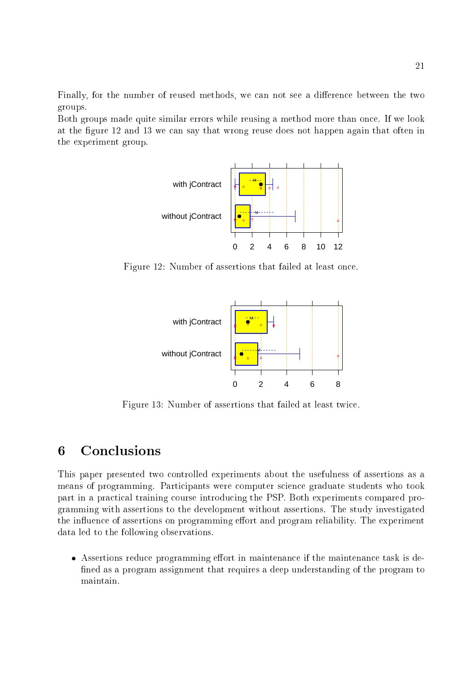Finally, for the number of reused methods, we can not see a difference between the two groups.

Both groups made quite similar errors while reusing a method more than once. If we look at the figure 12 and 13 we can say that wrong reuse does not happen again that often in the experiment group.



Figure 12: Number of assertions that failed at least on
e.



Figure 13: Number of assertions that failed at least twi
e.

## 6

This paper presented two ontrolled experiments about the usefulness of assertions as a means of programming. Parti
ipants were omputer s
ien
e graduate students who took part in a practical training course introducing the PSP. Both experiments compared programming with assertions to the development without assertions. The study investigated the influence of assertions on programming effort and program reliability. The experiment data led to the following observations.

• Assertions reduce programming effort in maintenance if the maintenance task is defined as a program assignment that requires a deep understanding of the program to maintain.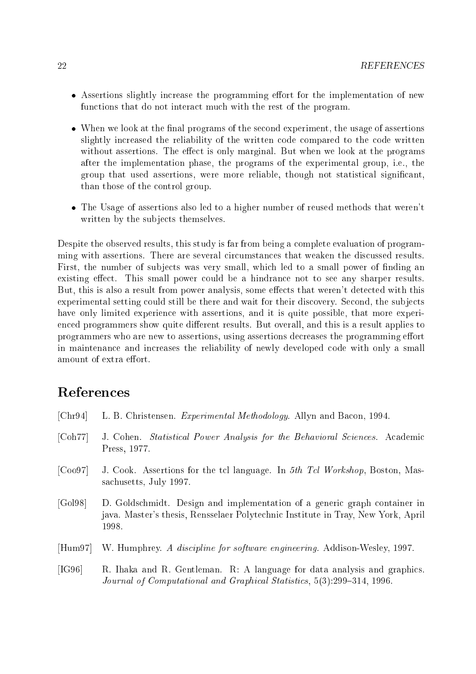- $\bullet$  Assertions slightly increase the programming effort for the implementation of new functions that do not interact much with the rest of the program.
- When we look at the final programs of the second experiment, the usage of assertions slightly increased the reliability of the written code compared to the code written without assertions. The effect is only marginal. But when we look at the programs after the implementation phase, the programs of the experimental group, i.e., the group that used assertions, were more reliable, though not statistical significant. than those of the ontrol group.
- The Usage of assertions also led to a higher number of reused methods that weren't written by the subjects themselves.

Despite the observed results, this study is far from being a complete evaluation of programming with assertions. There are several circumstances that weaken the discussed results. First, the number of subjects was very small, which led to a small power of finding an existing effect. This small power could be a hindrance not to see any sharper results. But, this is also a result from power analysis, some effects that weren't detected with this experimental setting could still be there and wait for their discovery. Second, the subjects have only limited experience with assertions, and it is quite possible, that more experienced programmers show quite different results. But overall, and this is a result applies to programmers who are new to assertions, using assertions decreases the programming effort in maintenan
e and in
reases the reliability of newly developed ode with only a small amount of extra effort.

## **References**

| [Chr94]              | L. B. Christensen. <i>Experimental Methodology</i> . Allyn and Bacon, 1994.                                                                                            |
|----------------------|------------------------------------------------------------------------------------------------------------------------------------------------------------------------|
| [Ch77]               | J. Cohen. Statistical Power Analysis for the Behavioral Sciences. Academic<br>Press, 1977.                                                                             |
| [Co <sub>0</sub> 97] | J. Cook. Assertions for the tcl language. In 5th Tcl Workshop, Boston, Mas-<br>sachusetts, July 1997.                                                                  |
| [Gol98]              | D. Goldschmidt. Design and implementation of a generic graph container in<br>java. Master's thesis, Rensselaer Polytechnic Institute in Tray, New York, April<br>1998. |
| $[{\rm Hum97}]$      | W. Humphrey. A discipline for software engineering. Addison-Wesley, 1997.                                                                                              |
| [IG96]               | R. Ihaka and R. Gentleman. R: A language for data analysis and graphics.<br>Journal of Computational and Graphical Statistics, 5(3):299–314, 1996.                     |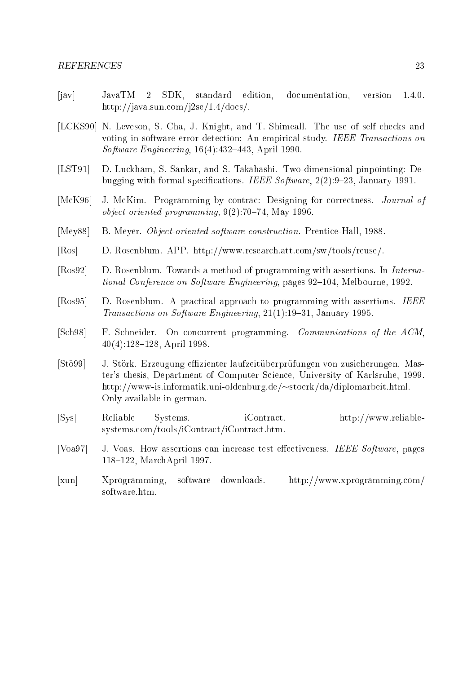- [jav] JavaTM 2 SDK, standard edition, documentation, version 1.4.0. http://java.sun.com/j2se/1.4/docs/.
- [LCKS90] N. Leveson, S. Cha, J. Knight, and T. Shimeall. The use of self checks and voting in software error detection: An empirical study. IEEE Transactions on Software Engineering,  $16(4):432-443$ , April 1990.
- [LST91] D. Luckham, S. Sankar, and S. Takahashi. Two-dimensional pinpointing: Debugging with formal specifications. IEEE Software,  $2(2):9-23$ , January 1991.
- [McK96] J. McKim. Programming by contrac: Designing for correctness. Journal of *object oriented programming*,  $9(2)$ :70-74, May 1996.
- [Mey88] B. Meyer. *Object-oriented software construction*. Prentice-Hall, 1988.
- [Ros] D. Rosenblum. APP. http://www.research.att.com/sw/tools/reuse/.
- [Ros92] D. Rosenblum. Towards a method of programming with assertions. In *Interna*tional Conference on Software Engineering, pages 92–104, Melbourne, 1992.
- [Ros95] D. Rosenblum. A practical approach to programming with assertions. IEEE Transactions on Software Engineering, 21(1):19-31, January 1995.
- [Sch98] F. Schneider. On concurrent programming. Communications of the ACM.  $40(4):128-128$ , April 1998.
- [Stö99] J. Störk. Erzeugung effizienter laufzeitüberprüfungen von zusicherungen. Master's thesis, Department of Computer S
ien
e, University of Karlsruhe, 1999. http://www-is.informatik.uni-oldenburg.de/ $\sim$ stoerk/da/diplomarbeit.html. Only available in german.
- Reliable [Sys℄ Reliable Systems. iContra
t. http://www.reliablesystems.com/tools/iContract/iContract.htm.
- [Voa97] J. Voas. How assertions can increase test effectiveness. IEEE Software, pages 118-122, MarchApril 1997.
- [xun] Xprogramming, software downloads. http://www.xprogramming.com/ software.htm.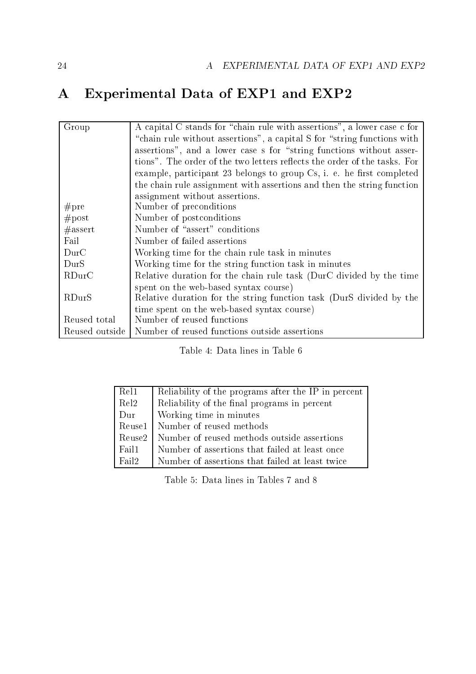# A Experimental Data of EXP1 and EXP2

| Group            | A capital C stands for "chain rule with assertions", a lower case c for   |
|------------------|---------------------------------------------------------------------------|
|                  | "chain rule without assertions", a capital S for "string functions with   |
|                  | assertions", and a lower case s for "string functions without asser-      |
|                  | tions". The order of the two letters reflects the order of the tasks. For |
|                  | example, participant 23 belongs to group Cs, i. e. he first completed     |
|                  | the chain rule assignment with assertions and then the string function    |
|                  | assignment without assertions.                                            |
| #pre             | Number of preconditions                                                   |
| #post            | Number of postconditions                                                  |
| #assert          | Number of "assert" conditions                                             |
| Fail             | Number of failed assertions                                               |
| $_{\text{DurC}}$ | Working time for the chain rule task in minutes                           |
| DurS             | Working time for the string function task in minutes                      |
| RDurC            | Relative duration for the chain rule task (DurC divided by the time       |
|                  | spent on the web-based syntax course)                                     |
| RDurS            | Relative duration for the string function task (DurS divided by the       |
|                  | time spent on the web-based syntax course)                                |
| Reused total     | Number of reused functions                                                |
| Reused outside   | Number of reused functions outside assertions                             |

Table 4: Data lines in Table 6

| Rel1              | Reliability of the programs after the IP in percent |
|-------------------|-----------------------------------------------------|
| Rel <sub>2</sub>  | Reliability of the final programs in percent        |
| Dur               | Working time in minutes                             |
| $\rm{Re}$ use $1$ | Number of reused methods                            |
| Reuse2            | Number of reused methods outside assertions         |
| Fail1             | Number of assertions that failed at least once      |
| Fail <sub>2</sub> | Number of assertions that failed at least twice     |

Table 5: Data lines in Tables 7 and 8